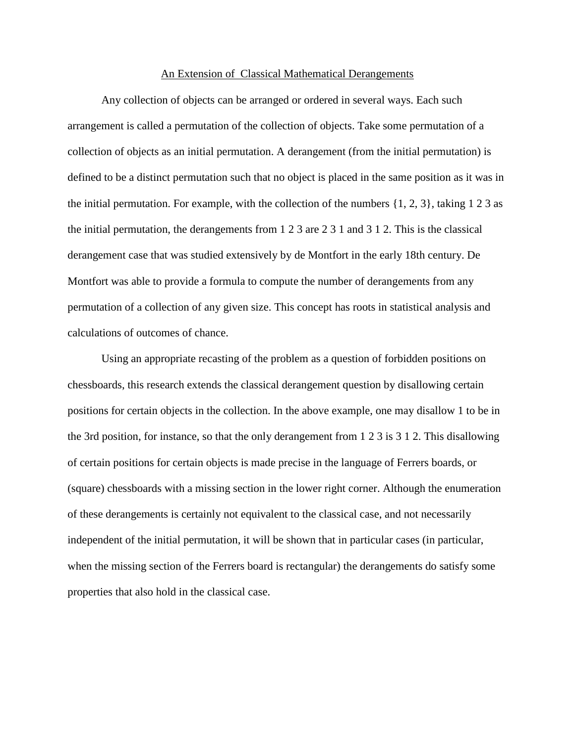## An Extension of Classical Mathematical Derangements

Any collection of objects can be arranged or ordered in several ways. Each such arrangement is called a permutation of the collection of objects. Take some permutation of a collection of objects as an initial permutation. A derangement (from the initial permutation) is defined to be a distinct permutation such that no object is placed in the same position as it was in the initial permutation. For example, with the collection of the numbers  $\{1, 2, 3\}$ , taking 1 2 3 as the initial permutation, the derangements from 1 2 3 are 2 3 1 and 3 1 2. This is the classical derangement case that was studied extensively by de Montfort in the early 18th century. De Montfort was able to provide a formula to compute the number of derangements from any permutation of a collection of any given size. This concept has roots in statistical analysis and calculations of outcomes of chance.

Using an appropriate recasting of the problem as a question of forbidden positions on chessboards, this research extends the classical derangement question by disallowing certain positions for certain objects in the collection. In the above example, one may disallow 1 to be in the 3rd position, for instance, so that the only derangement from 1 2 3 is 3 1 2. This disallowing of certain positions for certain objects is made precise in the language of Ferrers boards, or (square) chessboards with a missing section in the lower right corner. Although the enumeration of these derangements is certainly not equivalent to the classical case, and not necessarily independent of the initial permutation, it will be shown that in particular cases (in particular, when the missing section of the Ferrers board is rectangular) the derangements do satisfy some properties that also hold in the classical case.